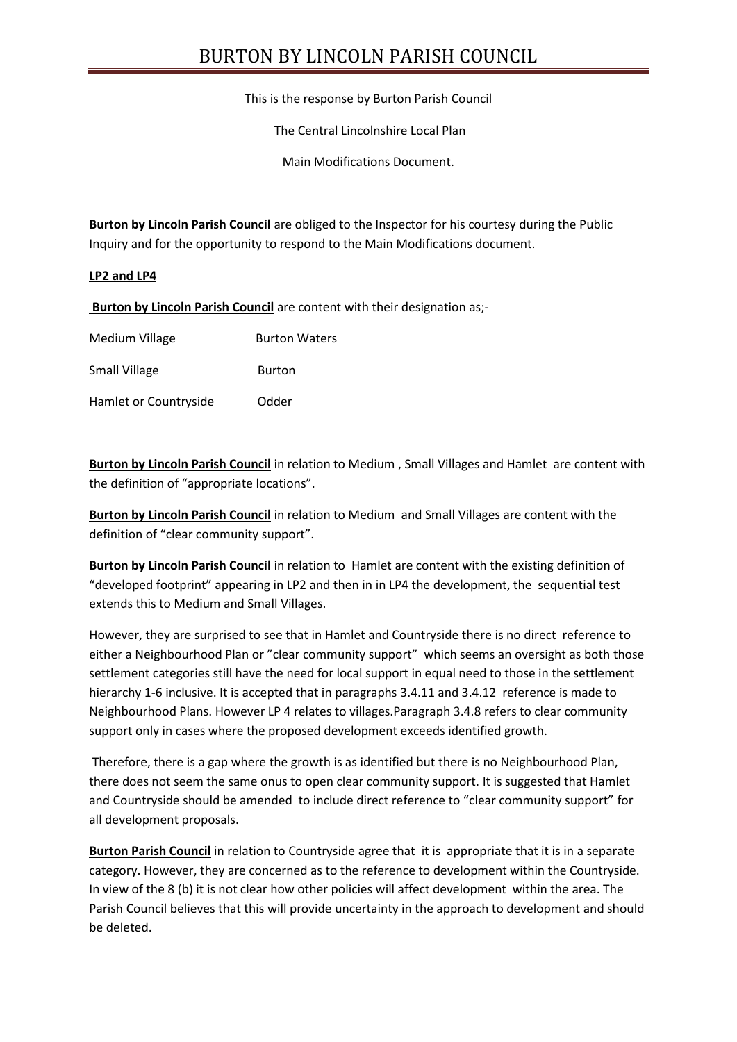# BURTON BY LINCOLN PARISH COUNCIL

This is the response by Burton Parish Council

The Central Lincolnshire Local Plan

Main Modifications Document.

**Burton by Lincoln Parish Council** are obliged to the Inspector for his courtesy during the Public Inquiry and for the opportunity to respond to the Main Modifications document.

#### **LP2 and LP4**

**Burton by Lincoln Parish Council** are content with their designation as;-

| Medium Village        | <b>Burton Waters</b> |
|-----------------------|----------------------|
| Small Village         | Burton               |
| Hamlet or Countryside | Odder                |

**Burton by Lincoln Parish Council** in relation to Medium , Small Villages and Hamlet are content with the definition of "appropriate locations".

**Burton by Lincoln Parish Council** in relation to Medium and Small Villages are content with the definition of "clear community support".

**Burton by Lincoln Parish Council** in relation to Hamlet are content with the existing definition of "developed footprint" appearing in LP2 and then in in LP4 the development, the sequential test extends this to Medium and Small Villages.

However, they are surprised to see that in Hamlet and Countryside there is no direct reference to either a Neighbourhood Plan or "clear community support" which seems an oversight as both those settlement categories still have the need for local support in equal need to those in the settlement hierarchy 1-6 inclusive. It is accepted that in paragraphs 3.4.11 and 3.4.12 reference is made to Neighbourhood Plans. However LP 4 relates to villages.Paragraph 3.4.8 refers to clear community support only in cases where the proposed development exceeds identified growth.

Therefore, there is a gap where the growth is as identified but there is no Neighbourhood Plan, there does not seem the same onus to open clear community support. It is suggested that Hamlet and Countryside should be amended to include direct reference to "clear community support" for all development proposals.

**Burton Parish Council** in relation to Countryside agree that it is appropriate that it is in a separate category. However, they are concerned as to the reference to development within the Countryside. In view of the 8 (b) it is not clear how other policies will affect development within the area. The Parish Council believes that this will provide uncertainty in the approach to development and should be deleted.